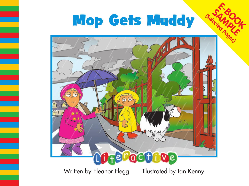



Written by Eleanor Flegg Illustrated by Ian Kenny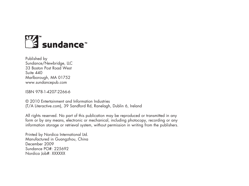

Published by Sundance/Newbridge, LLC 33 Boston Post Road West Suite 440 Marlborough, MA 01752 www.sundancepub.com

ISBN 978-1-4207-2266-6

© 2010 Entertainment and Information Industries (T/A Literactive.com), 39 Sandford Rd, Ranelagh, Dublin 6, Ireland

All rights reserved. No part of this publication may be reproduced or transmitted in any form or by any means, electronic or mechanical, including photocopy, recording or any information storage or retrieval system, without permission in writing from the publishers.

Printed by Nordica International Ltd. Manufactured in Guangzhou, China December 2009 Sundance PO#: 225692 Nordica Job#: XXXXXX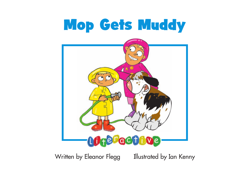#### Mop Gets Muddy



Written by Eleanor Flegg Illustrated by Ian Kenny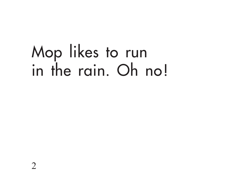## Mop likes to run in the rain. Oh no!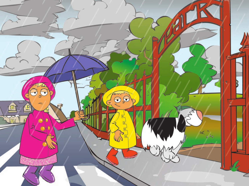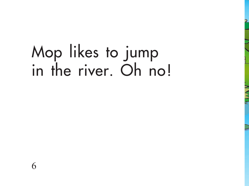## Mop likes to jump in the river. Oh no!

6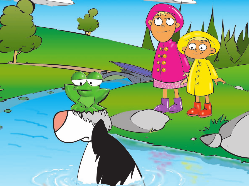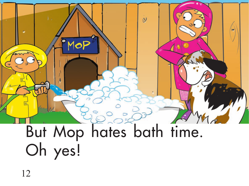

# But Mop hates bath time. Oh yes!